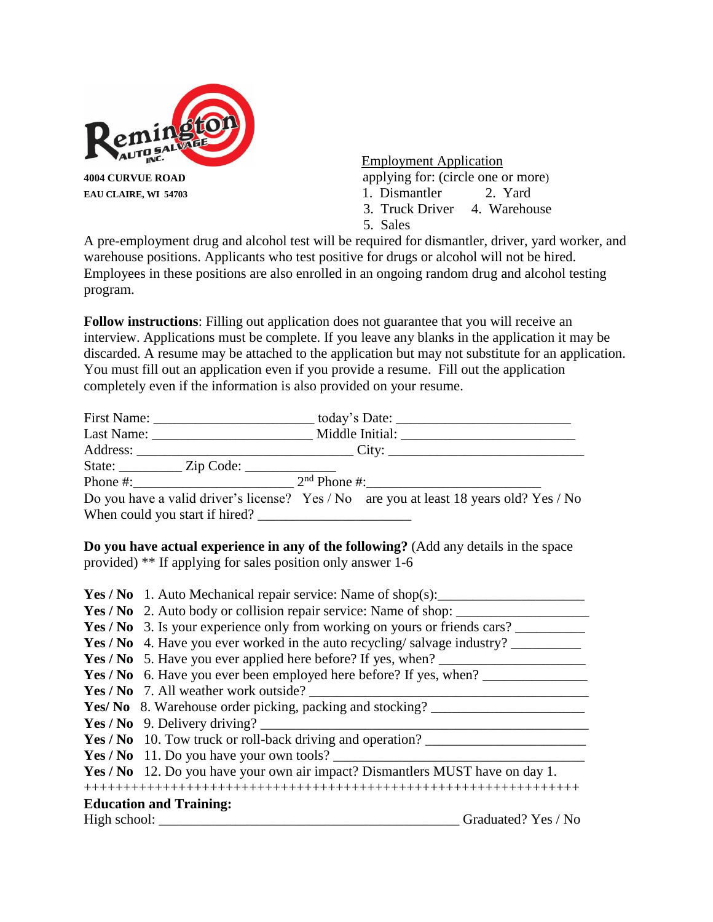

Employment Application

- **EAU CLAIRE, WI 54703** 1. Dismantler 2. Yard
	- 3. Truck Driver 4. Warehouse
	- 5. Sales

A pre-employment drug and alcohol test will be required for dismantler, driver, yard worker, and warehouse positions. Applicants who test positive for drugs or alcohol will not be hired. Employees in these positions are also enrolled in an ongoing random drug and alcohol testing program.

**Follow instructions**: Filling out application does not guarantee that you will receive an interview. Applications must be complete. If you leave any blanks in the application it may be discarded. A resume may be attached to the application but may not substitute for an application. You must fill out an application even if you provide a resume. Fill out the application completely even if the information is also provided on your resume.

|                                                  | Last Name: Middle Initial:                                                             |
|--------------------------------------------------|----------------------------------------------------------------------------------------|
|                                                  |                                                                                        |
| State: <u>_________</u> Zip Code: ______________ |                                                                                        |
|                                                  | Phone #: $2nd$ Phone #:                                                                |
|                                                  | Do you have a valid driver's license? Yes / No are you at least 18 years old? Yes / No |
| When could you start if hired?                   |                                                                                        |

**Do you have actual experience in any of the following?** (Add any details in the space provided) \*\* If applying for sales position only answer 1-6

| <b>Yes / No</b> 1. Auto Mechanical repair service: Name of shop(s):             |
|---------------------------------------------------------------------------------|
| Yes / No 2. Auto body or collision repair service: Name of shop:                |
| Yes / No 3. Is your experience only from working on yours or friends cars?      |
| <b>Yes / No</b> 4. Have you ever worked in the auto recycling/salvage industry? |
| <b>Yes</b> / No 5. Have you ever applied here before? If yes, when?             |
| <b>Yes / No</b> 6. Have you ever been employed here before? If yes, when?       |
| Yes / No. 7. All weather work outside?                                          |
| <b>Yes/ No</b> 8. Warehouse order picking, packing and stocking?                |
| Yes / No 9. Delivery driving? $\frac{1}{2}$                                     |
| Yes / No 10. Tow truck or roll-back driving and operation?                      |
| Yes / No 11. Do you have your own tools?                                        |
| Yes / No 12. Do you have your own air impact? Dismantlers MUST have on day 1.   |
|                                                                                 |
| <b>Education and Training:</b>                                                  |
| Graduated? Yes / No                                                             |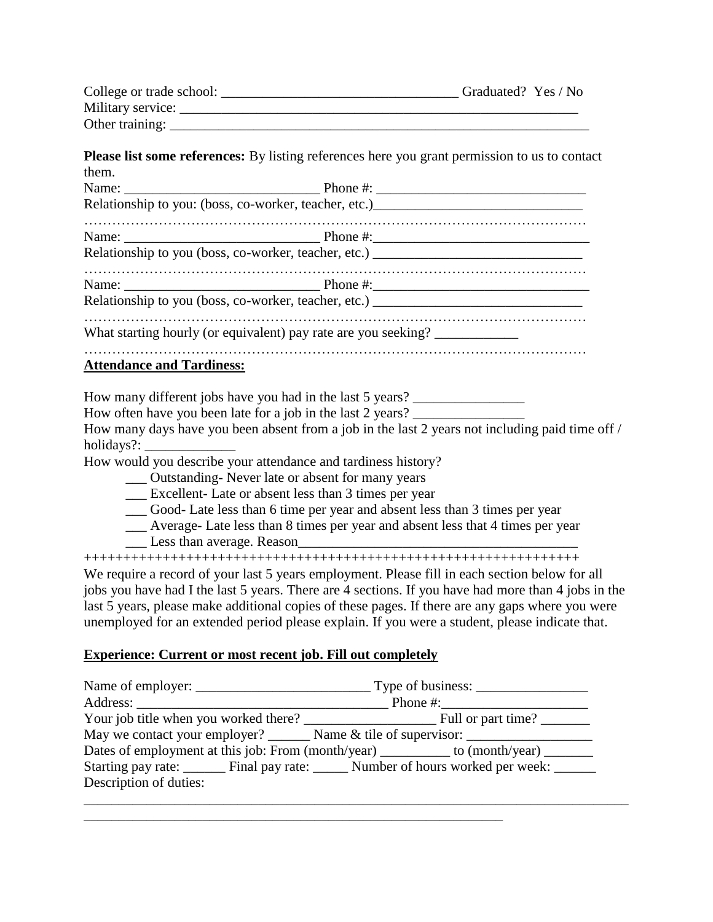| College or trade school: | Graduated? Yes / No |
|--------------------------|---------------------|
| Military service:        |                     |
| Other training:          |                     |

**Please list some references:** By listing references here you grant permission to us to contact them.

|                                  | Relationship to you: (boss, co-worker, teacher, etc.) ___________________________                                                                                                                  |
|----------------------------------|----------------------------------------------------------------------------------------------------------------------------------------------------------------------------------------------------|
|                                  |                                                                                                                                                                                                    |
|                                  | Relationship to you (boss, co-worker, teacher, etc.) ___________________________                                                                                                                   |
|                                  |                                                                                                                                                                                                    |
|                                  | Relationship to you (boss, co-worker, teacher, etc.) ___________________________                                                                                                                   |
|                                  | What starting hourly (or equivalent) pay rate are you seeking? _________________                                                                                                                   |
| <b>Attendance and Tardiness:</b> |                                                                                                                                                                                                    |
|                                  | How many different jobs have you had in the last 5 years? _______________________                                                                                                                  |
|                                  | How often have you been late for a job in the last 2 years?                                                                                                                                        |
|                                  | How many days have you been absent from a job in the last 2 years not including paid time off /                                                                                                    |
|                                  | How would you describe your attendance and tardiness history?                                                                                                                                      |
|                                  | ___ Outstanding- Never late or absent for many years                                                                                                                                               |
|                                  | Excellent-Late or absent less than 3 times per year                                                                                                                                                |
|                                  | __ Good- Late less than 6 time per year and absent less than 3 times per year                                                                                                                      |
|                                  | __ Average- Late less than 8 times per year and absent less that 4 times per year<br>Less than average. Reason                                                                                     |
|                                  |                                                                                                                                                                                                    |
|                                  | We require a record of your last 5 years employment. Please fill in each section below for all                                                                                                     |
|                                  | jobs you have had I the last 5 years. There are 4 sections. If you have had more than 4 jobs in the                                                                                                |
|                                  | last 5 years, please make additional copies of these pages. If there are any gaps where you were<br>unemployed for an extended period please explain. If you were a student, please indicate that. |

## **Experience: Current or most recent job. Fill out completely**

|                        | May we contact your employer? ________ Name & tile of supervisor: _______________    |
|------------------------|--------------------------------------------------------------------------------------|
|                        | Dates of employment at this job: From (month/year) _________ to (month/year) _______ |
|                        | Starting pay rate: Final pay rate: Number of hours worked per week:                  |
| Description of duties: |                                                                                      |
|                        |                                                                                      |

\_\_\_\_\_\_\_\_\_\_\_\_\_\_\_\_\_\_\_\_\_\_\_\_\_\_\_\_\_\_\_\_\_\_\_\_\_\_\_\_\_\_\_\_\_\_\_\_\_\_\_\_\_\_\_\_\_\_\_\_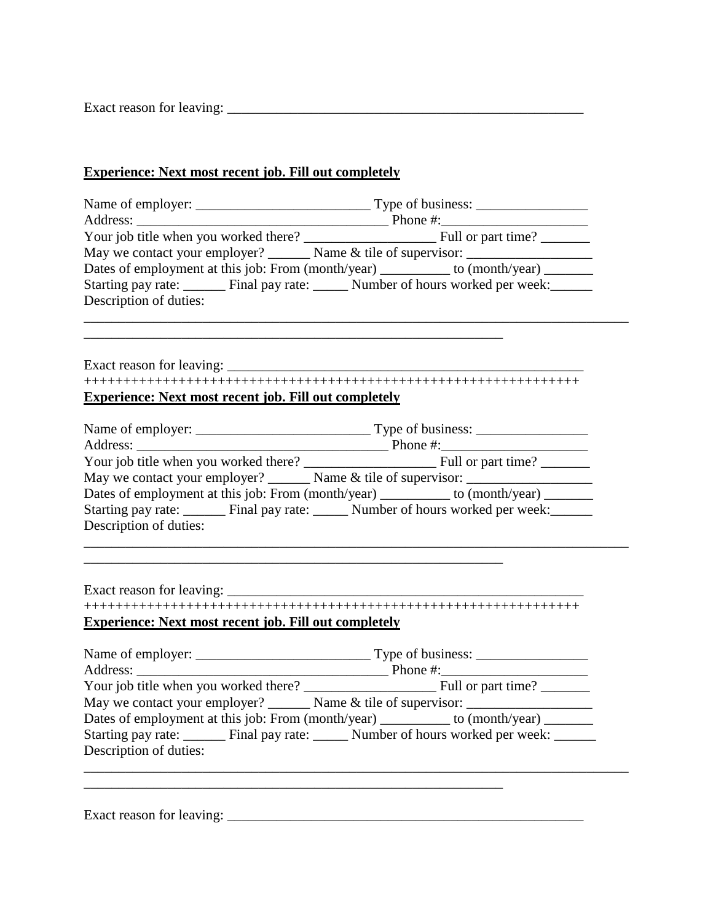Exact reason for leaving: \_\_\_\_\_\_\_\_\_\_\_\_\_\_\_\_\_\_\_\_\_\_\_\_\_\_\_\_\_\_\_\_\_\_\_\_\_\_\_\_\_\_\_\_\_\_\_\_\_\_\_

## **Experience: Next most recent job. Fill out completely**

|                                                                                      | May we contact your employer? _______ Name & tile of supervisor: _______________          |  |  |  |
|--------------------------------------------------------------------------------------|-------------------------------------------------------------------------------------------|--|--|--|
| Dates of employment at this job: From (month/year) _________ to (month/year) _______ |                                                                                           |  |  |  |
|                                                                                      | Starting pay rate: ______ Final pay rate: _____ Number of hours worked per week: ______   |  |  |  |
| Description of duties:                                                               |                                                                                           |  |  |  |
|                                                                                      |                                                                                           |  |  |  |
|                                                                                      |                                                                                           |  |  |  |
|                                                                                      |                                                                                           |  |  |  |
|                                                                                      |                                                                                           |  |  |  |
| <b>Experience: Next most recent job. Fill out completely</b>                         |                                                                                           |  |  |  |
|                                                                                      |                                                                                           |  |  |  |
|                                                                                      |                                                                                           |  |  |  |
|                                                                                      |                                                                                           |  |  |  |
|                                                                                      |                                                                                           |  |  |  |
|                                                                                      | May we contact your employer? _______ Name & tile of supervisor: _______________          |  |  |  |
|                                                                                      | Dates of employment at this job: From (month/year) ________ to (month/year) ______        |  |  |  |
|                                                                                      | Starting pay rate: _______ Final pay rate: _____ Number of hours worked per week: ______  |  |  |  |
| Description of duties:                                                               |                                                                                           |  |  |  |
|                                                                                      |                                                                                           |  |  |  |
|                                                                                      |                                                                                           |  |  |  |
|                                                                                      |                                                                                           |  |  |  |
| Exact reason for leaving: _________                                                  |                                                                                           |  |  |  |
|                                                                                      |                                                                                           |  |  |  |
| <b>Experience: Next most recent job. Fill out completely</b>                         |                                                                                           |  |  |  |
|                                                                                      |                                                                                           |  |  |  |
|                                                                                      |                                                                                           |  |  |  |
|                                                                                      |                                                                                           |  |  |  |
|                                                                                      |                                                                                           |  |  |  |
|                                                                                      | May we contact your employer? _______ Name & tile of supervisor: _______________          |  |  |  |
|                                                                                      | Dates of employment at this job: From (month/year) _________ to (month/year) _______      |  |  |  |
|                                                                                      | Starting pay rate: _______ Final pay rate: ______ Number of hours worked per week: ______ |  |  |  |
| Description of duties:                                                               |                                                                                           |  |  |  |
|                                                                                      |                                                                                           |  |  |  |
|                                                                                      |                                                                                           |  |  |  |

Exact reason for leaving: \_\_\_\_\_\_\_\_\_\_\_\_\_\_\_\_\_\_\_\_\_\_\_\_\_\_\_\_\_\_\_\_\_\_\_\_\_\_\_\_\_\_\_\_\_\_\_\_\_\_\_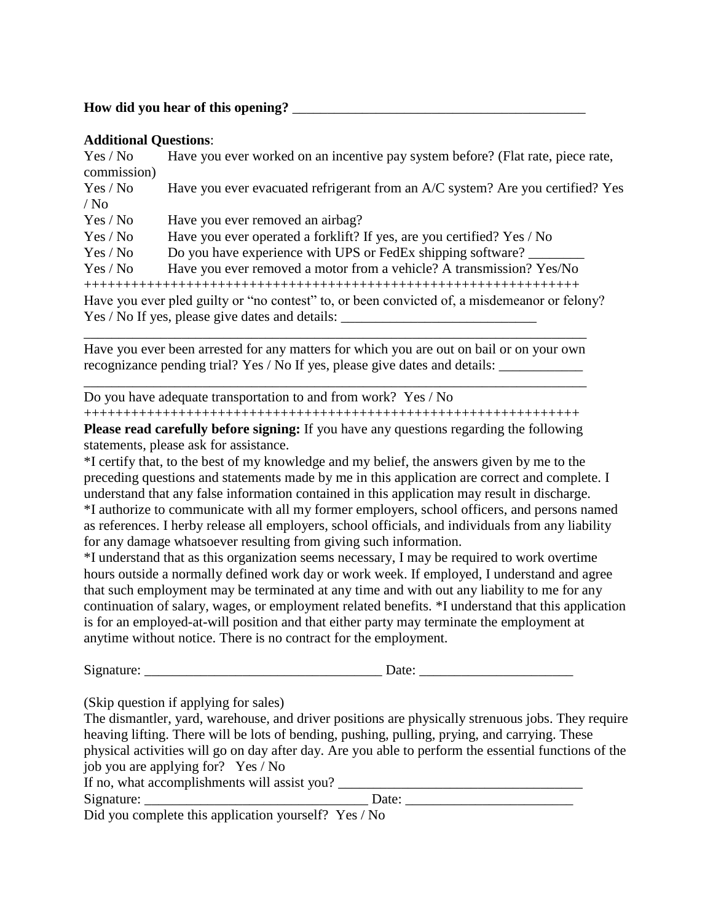## **How did you hear of this opening?** \_\_\_\_\_\_\_\_\_\_\_\_\_\_\_\_\_\_\_\_\_\_\_\_\_\_\_\_\_\_\_\_\_\_\_\_\_\_\_\_\_\_

## **Additional Questions**:

| Yes / No<br>commission) | Have you ever worked on an incentive pay system before? (Flat rate, piece rate,              |
|-------------------------|----------------------------------------------------------------------------------------------|
| Yes / No                | Have you ever evacuated refrigerant from an A/C system? Are you certified? Yes               |
| $/$ No                  |                                                                                              |
| Yes / No                | Have you ever removed an airbag?                                                             |
| Yes / No                | Have you ever operated a forklift? If yes, are you certified? Yes / No                       |
| Yes / No                | Do you have experience with UPS or FedEx shipping software?                                  |
| Yes / No                | Have you ever removed a motor from a vehicle? A transmission? Yes/No                         |
|                         |                                                                                              |
|                         | Have you ever pled guilty or "no contest" to, or been convicted of, a misdemeanor or felony? |
|                         | Yes / No If yes, please give dates and details:                                              |
|                         |                                                                                              |

Have you ever been arrested for any matters for which you are out on bail or on your own recognizance pending trial? Yes / No If yes, please give dates and details: \_\_\_\_\_\_\_\_\_\_\_\_

\_\_\_\_\_\_\_\_\_\_\_\_\_\_\_\_\_\_\_\_\_\_\_\_\_\_\_\_\_\_\_\_\_\_\_\_\_\_\_\_\_\_\_\_\_\_\_\_\_\_\_\_\_\_\_\_\_\_\_\_\_\_\_\_\_\_\_\_\_\_\_\_

Do you have adequate transportation to and from work? Yes / No

+++++++++++++++++++++++++++++++++++++++++++++++++++++++++++++++

**Please read carefully before signing:** If you have any questions regarding the following statements, please ask for assistance.

\*I certify that, to the best of my knowledge and my belief, the answers given by me to the preceding questions and statements made by me in this application are correct and complete. I understand that any false information contained in this application may result in discharge. \*I authorize to communicate with all my former employers, school officers, and persons named as references. I herby release all employers, school officials, and individuals from any liability for any damage whatsoever resulting from giving such information.

\*I understand that as this organization seems necessary, I may be required to work overtime hours outside a normally defined work day or work week. If employed, I understand and agree that such employment may be terminated at any time and with out any liability to me for any continuation of salary, wages, or employment related benefits. \*I understand that this application is for an employed-at-will position and that either party may terminate the employment at anytime without notice. There is no contract for the employment.

Signature:  $\Box$ 

(Skip question if applying for sales)

The dismantler, yard, warehouse, and driver positions are physically strenuous jobs. They require heaving lifting. There will be lots of bending, pushing, pulling, prying, and carrying. These physical activities will go on day after day. Are you able to perform the essential functions of the job you are applying for? Yes / No

| If no, what accomplishments will assist you?         |       |  |
|------------------------------------------------------|-------|--|
| Signature:                                           | Date: |  |
| Did you complete this application yourself? Yes / No |       |  |